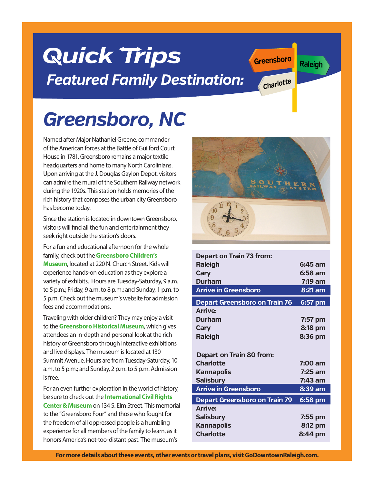## **Quick Trips** *Featured Family Destination:*

# *Greensboro, NC*

Named after Major Nathaniel Greene, commander of the American forces at the Battle of Guilford Court House in 1781, Greensboro remains a major textile headquarters and home to many North Carolinians. Upon arriving at the J. Douglas Gaylon Depot, visitors can admire the mural of the Southern Railway network during the 1920s. This station holds memories of the rich history that composes the urban city Greensboro has become today.

Since the station is located in downtown Greensboro, visitors will find all the fun and entertainment they seek right outside the station's doors.

For a fun and educational afternoon for the whole family, check out the **Greensboro Children's Museum**, located at 220 N. Church Street. Kids will experience hands-on education as they explore a variety of exhibits. Hours are Tuesday-Saturday, 9 a.m. to 5 p.m.; Friday, 9 a.m. to 8 p.m.; and Sunday, 1 p.m. to 5 p.m. Check out the museum's website for admission fees and accommodations.

Traveling with older children? They may enjoy a visit to the **Greensboro Historical Museum**, which gives attendees an in-depth and personal look at the rich history of Greensboro through interactive exhibitions and live displays. The museum is located at 130 Summit Avenue. Hours are from Tuesday-Saturday, 10 a.m. to 5 p.m.; and Sunday, 2 p.m. to 5 p.m. Admission is free.

For an even further exploration in the world of history, be sure to check out the **International Civil Rights Center & Museum** on 134 S. Elm Street. This memorial to the "Greensboro Four" and those who fought for the freedom of all oppressed people is a humbling experience for all members of the family to learn, as it honors America's not-too-distant past. The museum's





**Greensboro**

**Charlotte**

**Raleigh**